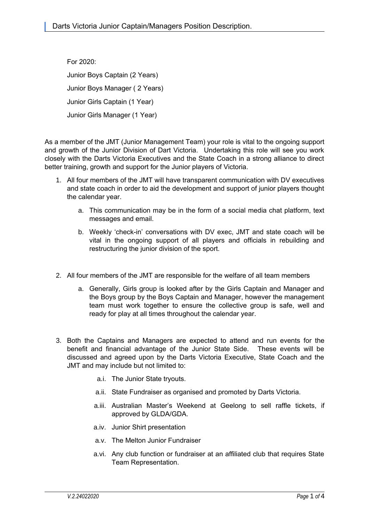For 2020: Junior Boys Captain (2 Years) Junior Boys Manager ( 2 Years) Junior Girls Captain (1 Year) Junior Girls Manager (1 Year)

As a member of the JMT (Junior Management Team) your role is vital to the ongoing support and growth of the Junior Division of Dart Victoria. Undertaking this role will see you work closely with the Darts Victoria Executives and the State Coach in a strong alliance to direct better training, growth and support for the Junior players of Victoria.

- 1. All four members of the JMT will have transparent communication with DV executives and state coach in order to aid the development and support of junior players thought the calendar year.
	- a. This communication may be in the form of a social media chat platform, text messages and email.
	- b. Weekly 'check-in' conversations with DV exec, JMT and state coach will be vital in the ongoing support of all players and officials in rebuilding and restructuring the junior division of the sport.
- 2. All four members of the JMT are responsible for the welfare of all team members
	- a. Generally, Girls group is looked after by the Girls Captain and Manager and the Boys group by the Boys Captain and Manager, however the management team must work together to ensure the collective group is safe, well and ready for play at all times throughout the calendar year.
- 3. Both the Captains and Managers are expected to attend and run events for the benefit and financial advantage of the Junior State Side. These events will be discussed and agreed upon by the Darts Victoria Executive, State Coach and the JMT and may include but not limited to:
	- a.i. The Junior State tryouts.
	- a.ii. State Fundraiser as organised and promoted by Darts Victoria.
	- a.iii. Australian Master's Weekend at Geelong to sell raffle tickets, if approved by GLDA/GDA.
	- a.iv. Junior Shirt presentation
	- a.v. The Melton Junior Fundraiser
	- a.vi. Any club function or fundraiser at an affiliated club that requires State Team Representation.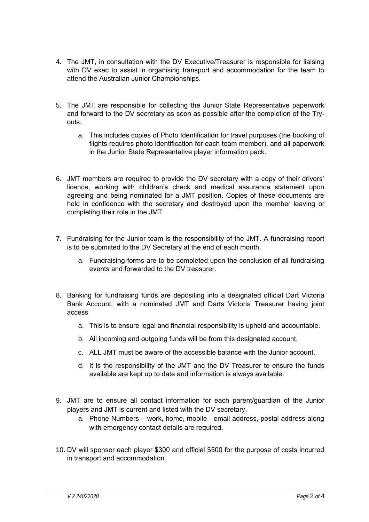- 4. The JMT, in consultation with the DV Executive/Treasurer is responsible for liaising with DV exec to assist in organising transport and accommodation for the team to attend the Australian Junior Championships.
- 5. The JMT are responsible for collecting the Junior State Representative paperwork and forward to the DV secretary as soon as possible after the completion of the Tryouts.
	- a. This includes copies of Photo Identification for travel purposes (the booking of flights requires photo identification for each team member), and all paperwork in the Junior State Representative player information pack.
- 6. JMT members are required to provide the DV secretary with a copy of their drivers' licence, working with children's check and medical assurance statement upon agreeing and being nominated for a JMT position. Copies of these documents are held in confidence with the secretary and destroyed upon the member leaving or completing their role in the JMT.
- 7. Fundraising for the Junior team is the responsibility of the JMT. A fundraising report is to be submitted to the DV Secretary at the end of each month.
	- a. Fundraising forms are to be completed upon the conclusion of all fundraising events and forwarded to the DV treasurer.
- 8. Banking for fundraising funds are depositing into a designated official Dart Victoria Bank Account, with a nominated JMT and Darts Victoria Treasurer having joint access
	- a. This is to ensure legal and financial responsibility is upheld and accountable.
	- b. All incoming and outgoing funds will be from this designated account.
	- c. ALL JMT must be aware of the accessible balance with the Junior account.
	- d. It is the responsibility of the JMT and the DV Treasurer to ensure the funds available are kept up to date and information is always available.
- 9. JMT are to ensure all contact information for each parent/guardian of the Junior players and JMT is current and listed with the DV secretary.
	- a. Phone Numbers work, home, mobile email address, postal address along with emergency contact details are required.
- 10. DV will sponsor each player \$300 and official \$500 for the purpose of costs incurred in transport and accommodation.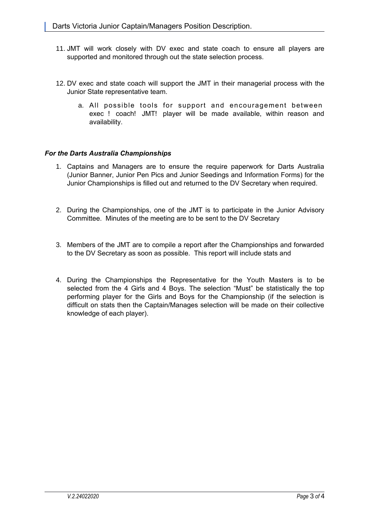- 11. JMT will work closely with DV exec and state coach to ensure all players are supported and monitored through out the state selection process.
- 12. DV exec and state coach will support the JMT in their managerial process with the Junior State representative team.
	- a. All possible tools for support and encouragement between exec ! coach! JMT! player will be made available, within reason and availability.

## *For the Darts Australia Championships*

- 1. Captains and Managers are to ensure the require paperwork for Darts Australia (Junior Banner, Junior Pen Pics and Junior Seedings and Information Forms) for the Junior Championships is filled out and returned to the DV Secretary when required.
- 2. During the Championships, one of the JMT is to participate in the Junior Advisory Committee. Minutes of the meeting are to be sent to the DV Secretary
- 3. Members of the JMT are to compile a report after the Championships and forwarded to the DV Secretary as soon as possible. This report will include stats and
- 4. During the Championships the Representative for the Youth Masters is to be selected from the 4 Girls and 4 Boys. The selection "Must" be statistically the top performing player for the Girls and Boys for the Championship (if the selection is difficult on stats then the Captain/Manages selection will be made on their collective knowledge of each player).